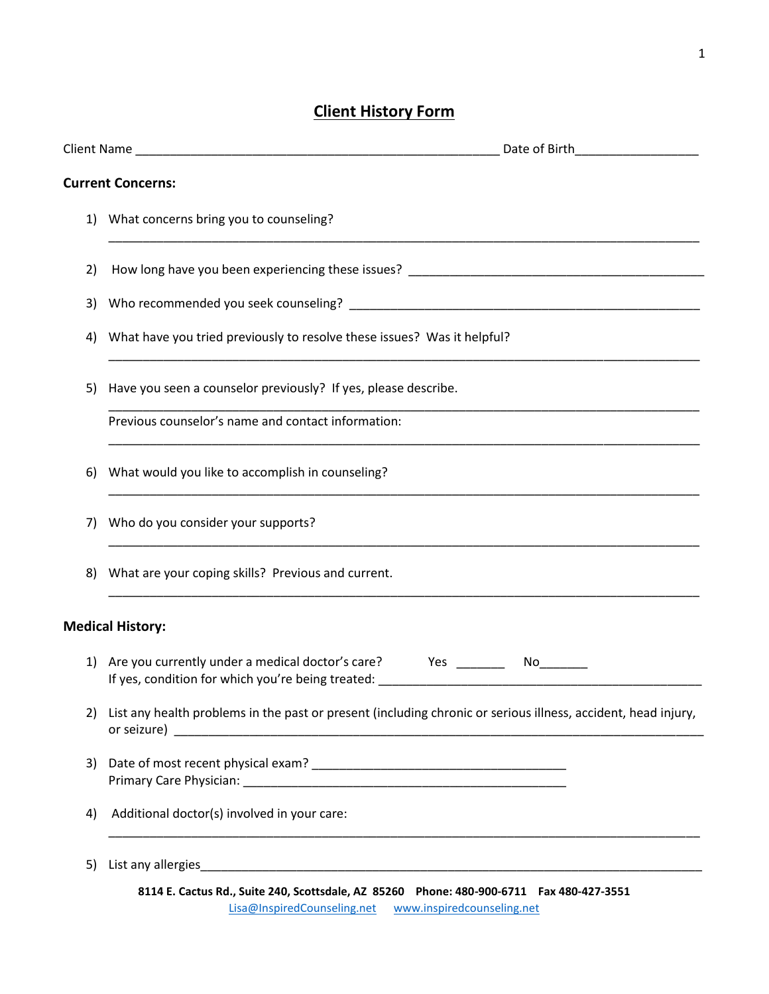## **Client History Form**

|    | Date of Birth <b>Exercise 2018</b><br>Client Name <b>Experience and Client Name</b>                                                                                                                                           |  |  |  |  |  |
|----|-------------------------------------------------------------------------------------------------------------------------------------------------------------------------------------------------------------------------------|--|--|--|--|--|
|    | <b>Current Concerns:</b>                                                                                                                                                                                                      |  |  |  |  |  |
|    | 1) What concerns bring you to counseling?                                                                                                                                                                                     |  |  |  |  |  |
| 2) | How long have you been experiencing these issues? The manufacturer of the control of the state of the control of the control of the control of the control of the control of the control of the control of the control of the |  |  |  |  |  |
| 3) |                                                                                                                                                                                                                               |  |  |  |  |  |
| 4) | What have you tried previously to resolve these issues? Was it helpful?                                                                                                                                                       |  |  |  |  |  |
| 5) | Have you seen a counselor previously? If yes, please describe.                                                                                                                                                                |  |  |  |  |  |
|    | Previous counselor's name and contact information:                                                                                                                                                                            |  |  |  |  |  |
| 6) | What would you like to accomplish in counseling?                                                                                                                                                                              |  |  |  |  |  |
| 7) | Who do you consider your supports?                                                                                                                                                                                            |  |  |  |  |  |
| 8) | What are your coping skills? Previous and current.                                                                                                                                                                            |  |  |  |  |  |
|    | <b>Medical History:</b>                                                                                                                                                                                                       |  |  |  |  |  |
|    | 1) Are you currently under a medical doctor's care?<br>If yes, condition for which you're being treated:                                                                                                                      |  |  |  |  |  |
| 2) | List any health problems in the past or present (including chronic or serious illness, accident, head injury,                                                                                                                 |  |  |  |  |  |
| 3) |                                                                                                                                                                                                                               |  |  |  |  |  |
| 4) | Additional doctor(s) involved in your care:                                                                                                                                                                                   |  |  |  |  |  |
| 5) |                                                                                                                                                                                                                               |  |  |  |  |  |
|    | 8114 E. Cactus Rd., Suite 240, Scottsdale, AZ 85260 Phone: 480-900-6711 Fax 480-427-3551<br>Lisa@InspiredCounseling.net www.inspiredcounseling.net                                                                            |  |  |  |  |  |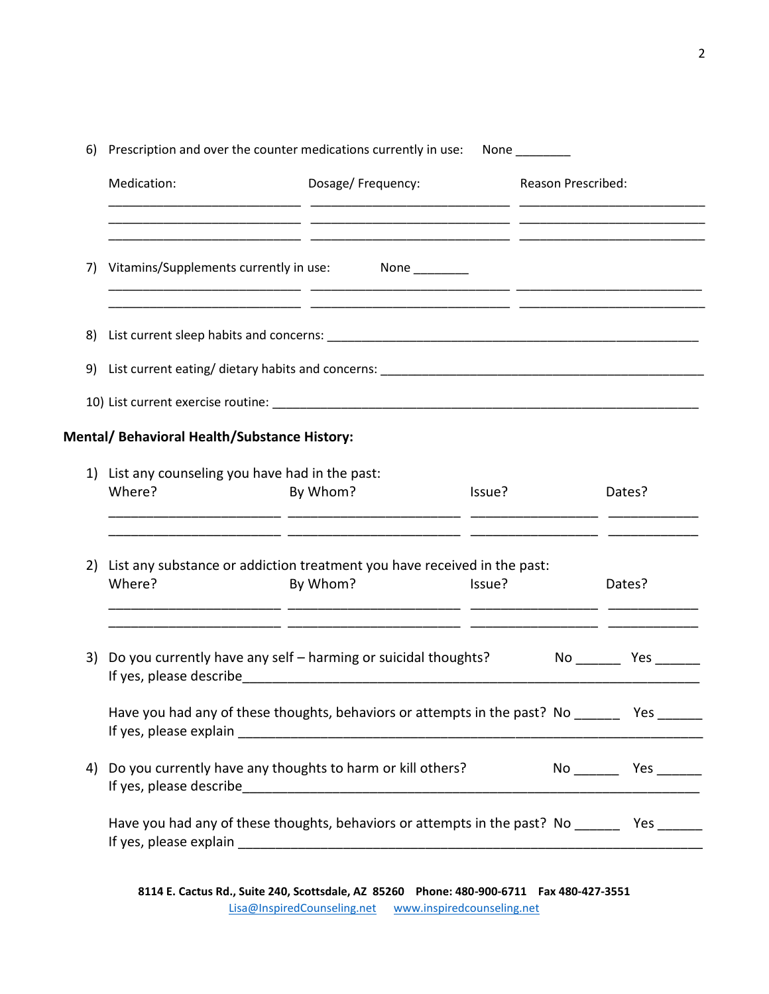| 6) | Prescription and over the counter medications currently in use:<br>None $\_\_$                |                    |        |                    |        |  |  |
|----|-----------------------------------------------------------------------------------------------|--------------------|--------|--------------------|--------|--|--|
|    | Medication:                                                                                   | Dosage/ Frequency: |        | Reason Prescribed: |        |  |  |
| 7) | Vitamins/Supplements currently in use: None _______                                           |                    |        |                    |        |  |  |
| 8) |                                                                                               |                    |        |                    |        |  |  |
| 9) |                                                                                               |                    |        |                    |        |  |  |
|    |                                                                                               |                    |        |                    |        |  |  |
|    | <b>Mental/ Behavioral Health/Substance History:</b>                                           |                    |        |                    |        |  |  |
|    | 1) List any counseling you have had in the past:<br>Where?                                    | By Whom?           | Issue? |                    | Dates? |  |  |
| 2) | List any substance or addiction treatment you have received in the past:<br>Where?            | By Whom?           | Issue? |                    | Dates? |  |  |
| 3) | Do you currently have any self - harming or suicidal thoughts?                                |                    |        |                    |        |  |  |
|    | Have you had any of these thoughts, behaviors or attempts in the past? No ________ Yes ______ |                    |        |                    |        |  |  |
| 4) | Do you currently have any thoughts to harm or kill others?                                    |                    |        |                    |        |  |  |
|    | Have you had any of these thoughts, behaviors or attempts in the past? No _______ Yes ______  |                    |        |                    |        |  |  |

**8114 E. Cactus Rd., Suite 240, Scottsdale, AZ 85260 Phone: 480-900-6711 Fax 480-427-3551**  [Lisa@InspiredCounseling.net](mailto:Lisa@InspiredCounseling.net) [www.inspiredcounseling.net](http://www.inspiredcounseling.net/)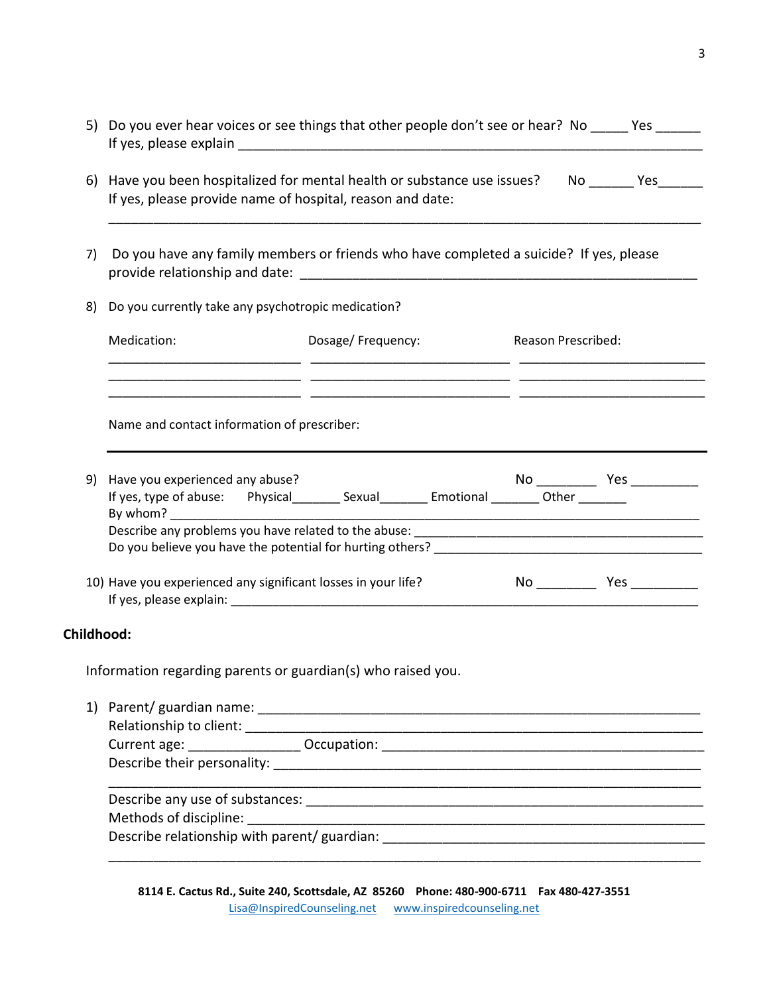|            | 5) Do you ever hear voices or see things that other people don't see or hear? No _____ Yes ______                                                           |                    |                    |  |  |  |  |
|------------|-------------------------------------------------------------------------------------------------------------------------------------------------------------|--------------------|--------------------|--|--|--|--|
|            | 6) Have you been hospitalized for mental health or substance use issues? No _______ Yes_______<br>If yes, please provide name of hospital, reason and date: |                    |                    |  |  |  |  |
| 7)         | Do you have any family members or friends who have completed a suicide? If yes, please                                                                      |                    |                    |  |  |  |  |
| 8)         | Do you currently take any psychotropic medication?                                                                                                          |                    |                    |  |  |  |  |
|            | Medication:                                                                                                                                                 | Dosage/ Frequency: | Reason Prescribed: |  |  |  |  |
|            | Name and contact information of prescriber:                                                                                                                 |                    |                    |  |  |  |  |
| 9)         | Have you experienced any abuse?                                                                                                                             |                    |                    |  |  |  |  |
|            | 10) Have you experienced any significant losses in your life?                                                                                               |                    |                    |  |  |  |  |
| Childhood: |                                                                                                                                                             |                    |                    |  |  |  |  |
|            | Information regarding parents or guardian(s) who raised you.                                                                                                |                    |                    |  |  |  |  |
|            |                                                                                                                                                             |                    |                    |  |  |  |  |
|            |                                                                                                                                                             |                    |                    |  |  |  |  |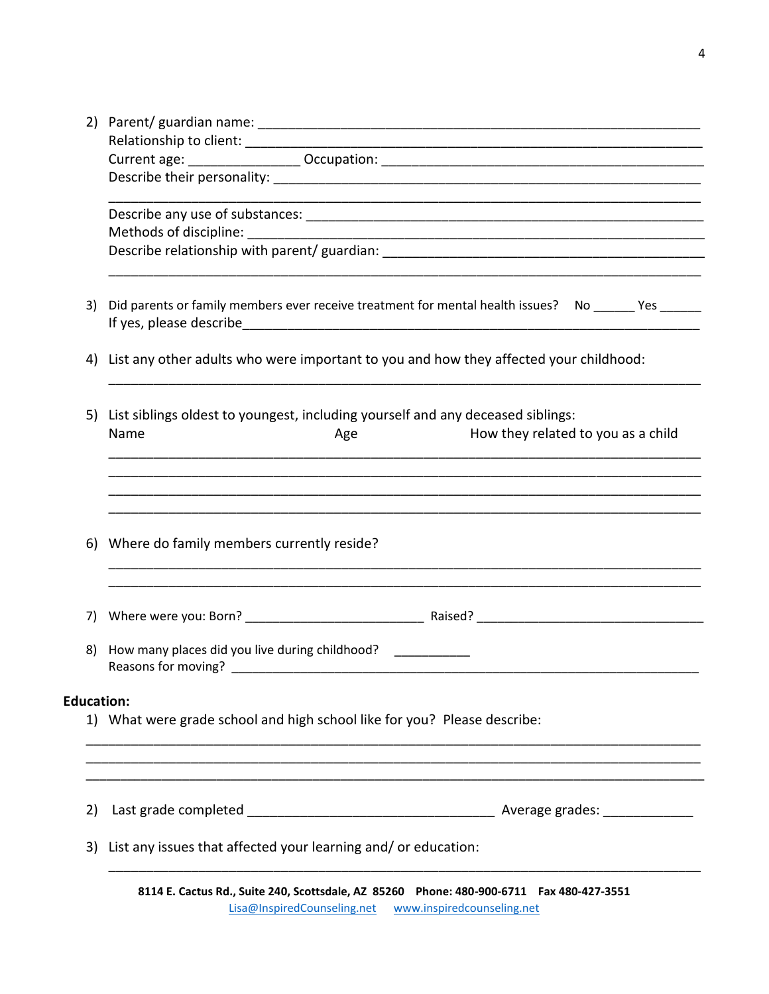| 3)                | Did parents or family members ever receive treatment for mental health issues? No Yes                                                   |  |  |  |  |  |
|-------------------|-----------------------------------------------------------------------------------------------------------------------------------------|--|--|--|--|--|
|                   | 4) List any other adults who were important to you and how they affected your childhood:                                                |  |  |  |  |  |
|                   | 5) List siblings oldest to youngest, including yourself and any deceased siblings:<br>How they related to you as a child<br>Name<br>Age |  |  |  |  |  |
|                   | 6) Where do family members currently reside?                                                                                            |  |  |  |  |  |
|                   |                                                                                                                                         |  |  |  |  |  |
|                   |                                                                                                                                         |  |  |  |  |  |
| 8)                | How many places did you live during childhood? ___________                                                                              |  |  |  |  |  |
| <b>Education:</b> |                                                                                                                                         |  |  |  |  |  |
|                   | 1) What were grade school and high school like for you? Please describe:                                                                |  |  |  |  |  |
|                   |                                                                                                                                         |  |  |  |  |  |
| 2)                |                                                                                                                                         |  |  |  |  |  |
| 3)                | List any issues that affected your learning and/ or education:                                                                          |  |  |  |  |  |
|                   | 8114 E. Cactus Rd., Suite 240, Scottsdale, AZ, 85260, Dhone: 480-900-6711, Eav 480-427-3551                                             |  |  |  |  |  |

**8114 E. Cactus Rd., Suite 240, Scottsdale, AZ 85260 Phone: 480-900-6711 Fax 480-427-3551**  [Lisa@InspiredCounseling.net](mailto:Lisa@InspiredCounseling.net) [www.inspiredcounseling.net](http://www.inspiredcounseling.net/)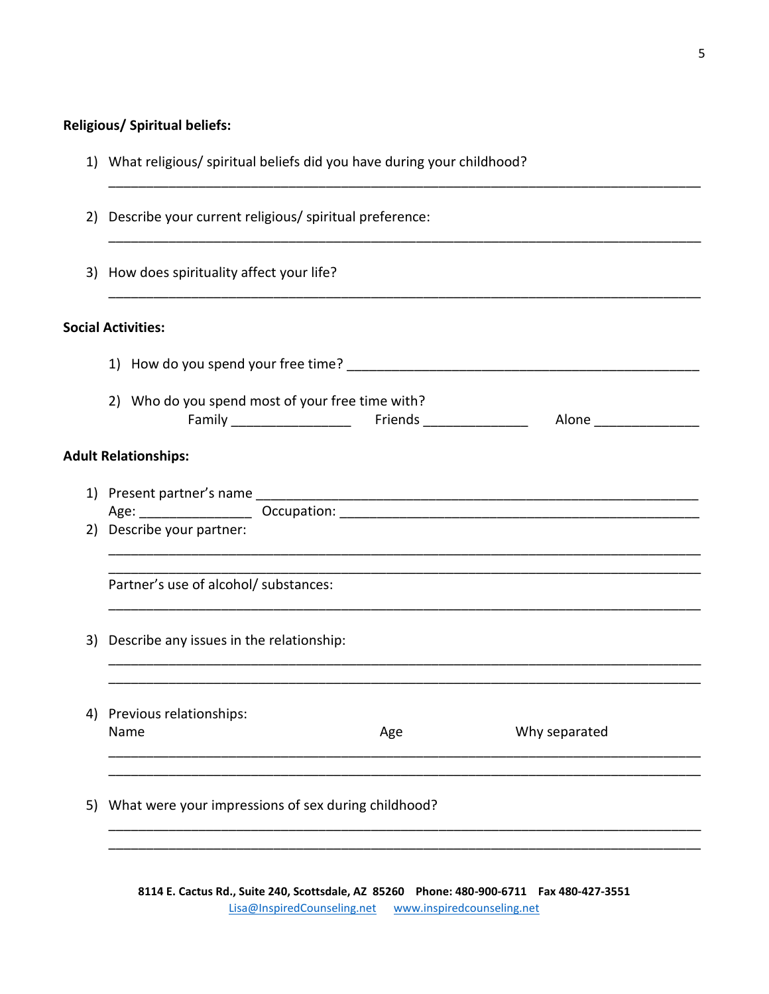## **Religious/ Spiritual beliefs:**

| 1) What religious/ spiritual beliefs did you have during your childhood?                                                                                        |  |  |  |
|-----------------------------------------------------------------------------------------------------------------------------------------------------------------|--|--|--|
| 2) Describe your current religious/ spiritual preference:                                                                                                       |  |  |  |
| 3) How does spirituality affect your life?                                                                                                                      |  |  |  |
| <b>Social Activities:</b>                                                                                                                                       |  |  |  |
|                                                                                                                                                                 |  |  |  |
| 2) Who do you spend most of your free time with?<br>Alone __________________                                                                                    |  |  |  |
| <b>Adult Relationships:</b>                                                                                                                                     |  |  |  |
|                                                                                                                                                                 |  |  |  |
| 2) Describe your partner:                                                                                                                                       |  |  |  |
| <u> 1989 - Johann Barn, mars ann an t-Amhain ann an t-Amhain ann an t-Amhain ann an t-Amhain ann an t-Amhain an t-</u><br>Partner's use of alcohol/ substances: |  |  |  |
| 3) Describe any issues in the relationship:                                                                                                                     |  |  |  |
| 4) Previous relationships:                                                                                                                                      |  |  |  |
| Why separated<br>Name<br>Age                                                                                                                                    |  |  |  |
| 5) What were your impressions of sex during childhood?                                                                                                          |  |  |  |
|                                                                                                                                                                 |  |  |  |

**8114 E. Cactus Rd., Suite 240, Scottsdale, AZ 85260 Phone: 480-900-6711 Fax 480-427-3551**  [Lisa@InspiredCounseling.net](mailto:Lisa@InspiredCounseling.net) [www.inspiredcounseling.net](http://www.inspiredcounseling.net/)